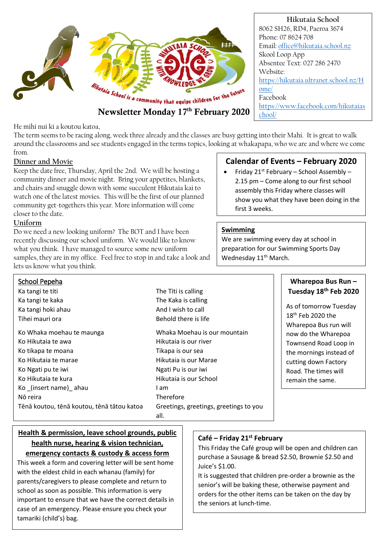

He mihi nui ki a koutou katoa,

The term seems to be racing along, week three already and the classes are busy getting into their Mahi. It is great to walk around the classrooms and see students engaged in the terms topics, looking at whakapapa, who we are and where we come from.

#### **Dinner and Movie**

Keep the date free, Thursday, April the 2nd. We will be hosting a community dinner and movie night. Bring your appetites, blankets, and chairs and snuggle down with some succulent Hikutaia kai to watch one of the latest movies. This will be the first of our planned community get-togethers this year. More information will come closer to the date.

#### **Uniform**

Do we need a new looking uniform? The BOT and I have been recently discussing our school uniform. We would like to know what you think. I have managed to source some new uniform samples, they are in my office. Feel free to stop in and take a look and lets us know what you think.

### **Calendar of Events – February 2020**

Friday  $21^{st}$  February – School Assembly – 2.15 pm – Come along to our first school assembly this Friday where classes will show you what they have been doing in the first 3 weeks.

#### **Swimming**

We are swimming every day at school in preparation for our Swimming Sports Day Wednesday 11<sup>th</sup> March.

| School Pepeha                              |                                                |
|--------------------------------------------|------------------------------------------------|
| Ka tangi te titi                           | The Titi is calling                            |
| Ka tangi te kaka                           | The Kaka is calling                            |
| Ka tangi hoki ahau                         | And I wish to call                             |
| Tihei mauri ora                            | Behold there is life                           |
| Ko Whaka moehau te maunga                  | Whaka Moehau is our mountain                   |
| Ko Hikutaja te awa                         | Hikutaja is our river                          |
| Ko tikapa te moana                         | Tikapa is our sea                              |
| Ko Hikutaja te marae                       | Hikutaia is our Marae                          |
| Ko Ngati pu te iwi                         | Ngati Pu is our iwi                            |
| Ko Hikutaja te kura                        | Hikutaia is our School                         |
| Ko (insert name) ahau                      | I am                                           |
| Nō reira                                   | Therefore                                      |
| Tēnā koutou, tēnā koutou, tēnā tātou katoa | Greetings, greetings, greetings to you<br>all. |

#### **Wharepoa Bus Run – Tuesday 18th Feb 2020**

As of tomorrow Tuesday 18th Feb 2020 the Wharepoa Bus run will now do the Wharepoa Townsend Road Loop in the mornings instead of cutting down Factory Road. The times will remain the same.

### **Health & permission, leave school grounds, public health nurse, hearing & vision technician, emergency contacts & custody & access form**

This week a form and covering letter will be sent home with the eldest child in each whanau (family) for parents/caregivers to please complete and return to school as soon as possible. This information is very important to ensure that we have the correct details in case of an emergency. Please ensure you check your tamariki (child's) bag.

#### **Café – Friday 21st February**

This Friday the Café group will be open and children can purchase a Sausage & bread \$2.50, Brownie \$2.50 and Juice's \$1.00.

It is suggested that children pre-order a brownie as the senior's will be baking these, otherwise payment and orders for the other items can be taken on the day by the seniors at lunch-time.